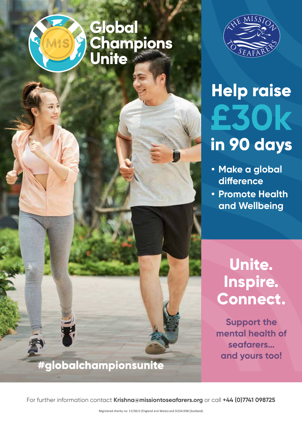# **Global<br>Champions<br>Unite**



# **Help raise** £30k in 90 days

- **• Make a global difference**
- **• Promote Health and Wellbeing**

# **Unite. Inspire. Connect.**

**Support the mental health of seafarers… and yours too!**

#globalchampionsunite

For further information contact **Krishna@missiontoseafarers.org** or call **+44 (0)7741 098725**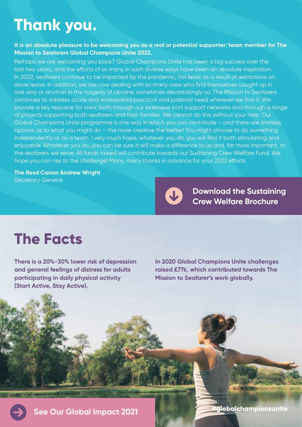# **Thank you.**

#### **It is an absolute pleasure to be welcoming you as a real or potential supporter/team member for The Mission to Seafarers Global Champions Unite 2022.**

Perhaps we are welcoming you back? Global Champions Unite has been a big success over the last two years, and the efforts of so many in such diverse ways have been an absolute inspiration. In 2022, seafarers continue to be impacted by the pandemic, not least as a result of restrictions on shore leave. In addition, we are now dealing with so many crew who find themselves caught up in one way or another in the tragedy of Ukraine, sometimes devastatingly so. The Mission to Seafarers continues to address acute and widespread practical and pastoral need wherever we find it. We provide a key resource for crew, both through our extensive port support networks and through a range of projects supporting both seafarers and their families. We cannot do this without your help. Our Global Champions Unite programme is one way in which you can contribute – and there are limitless options as to what you might do – the more creative the better! You might choose to do something independently or as a team. I very much hope, whatever you do, you will find it both stimulating and enjoyable. Whatever you do, you can be sure it will make a difference to us and, far more important, to the seafarers we serve. All funds raised will contribute towards our Sustaining Crew Welfare Fund. We hope you can rise to the challenge! Many, many thanks in advance for your 2022 efforts.

#### **The Revd Canon Andrew Wright** Secretary General



**[Download the Sustaining](https://www.missiontoseafarers.org/wp-content/uploads/Sustaining-Crew-Welfare-LR-FINAL-Brochure.pdf)  Crew Welfare Brochure** 

# **The Facts**

**There is a 20%-30% lower risk of depression and general feelings of distress for adults participating in daily physical activity (Start Active, Stay Active).**

**In 2020 Global Champions Unite challenges raised £77k, which contributed towards The Mission to Seafarer's work globally.**

**globalchamp**ionsunite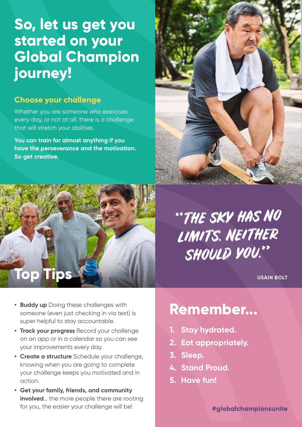# **So, let us get you started on your Global Champion journey!**

### **Choose your challenge**

Whether you are someone who exercises every day, or not at all, there is a challenge that will stretch your abilities.

**You can train for almost anything if you have the perseverance and the motivation. So get creative.**





"THE SKY HAS NO LIMITS. NEITHER SHOULD YOU.

**USAIN BOLT** 

- **Buddy up** Doing these challenges with **Remember...**<br> **• Remember...** someone (even just checking in via text) is super helpful to stay accountable.
- **• Track your progress** Record your challenge on an app or in a calendar so you can see your improvements every day.
- **• Create a structure** Schedule your challenge, knowing when you are going to complete your challenge keeps you motivated and in action.
- **• Get your family, friends, and community involved**... the more people there are rooting for you, the easier your challenge will be!

- **1. Stay hydrated.**
- **2. Eat appropriately.**
- **3. Sleep.**
- **4. Stand Proud.**
- **5. Have fun!**

#globalchampionsunite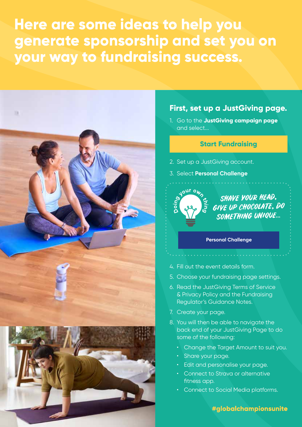**Here are some ideas to help you generate sponsorship and set you on your way to fundraising success.**



#### **First, set up a JustGiving page.**

1. Go to the **JustGiving campaign page**  and select...

#### **[Start Fundraising](https://www.justgiving.com/campaign/globalchampionsunite2022)**

- 2. Set up a JustGiving account.
- 3. Select **Personal Challenge**



#### **Personal Challenge**

- 4. Fill out the event details form.
- 5. Choose your fundraising page settings.
- 6. Read the JustGiving Terms of Service & Privacy Policy and the Fundraising Regulator's Guidance Notes.
- 7. Create your page.
- 8. You will then be able to navigate the back end of your JustGiving Page to do some of the following:
	- Change the Target Amount to suit you.
	- Share your page.
	- Edit and personalise your page.
	- Connect to Strava or alternative fitness app.
	- Connect to Social Media platforms.

#globalchampionsunite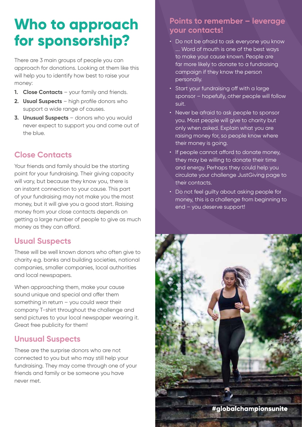# **Who to approach for sponsorship?**

There are 3 main groups of people you can approach for donations. Looking at them like this will help you to identify how best to raise your money:

- **1. Close Contacts** your family and friends.
- **2. Usual Suspects** high profile donors who support a wide range of causes.
- **3. Unusual Suspects** donors who you would never expect to support you and come out of the blue.

# **Close Contacts**

Your friends and family should be the starting point for your fundraising. Their giving capacity will vary, but because they know you, there is an instant connection to your cause. This part of your fundraising may not make you the most money, but it will give you a good start. Raising money from your close contacts depends on getting a large number of people to give as much money as they can afford.

# **Usual Suspects**

These will be well known donors who often give to charity e.g. banks and building societies, national companies, smaller companies, local authorities and local newspapers.

When approaching them, make your cause sound unique and special and offer them something in return – you could wear their company T-shirt throughout the challenge and send pictures to your local newspaper wearing it. Great free publicity for them!

# **Unusual Suspects**

These are the surprise donors who are not connected to you but who may still help your fundraising. They may come through one of your friends and family or be someone you have never met.

### **Points to remember – leverage your contacts!**

- Do not be afraid to ask everyone you know …. Word of mouth is one of the best ways to make your cause known. People are far more likely to donate to a fundraising campaign if they know the person personally.
- Start your fundraising off with a large sponsor – hopefully, other people will follow suit.
- Never be afraid to ask people to sponsor you. Most people will give to charity but only when asked. Explain what you are raising money for, so people know where their money is going.
- If people cannot afford to donate money, they may be willing to donate their time and energy. Perhaps they could help you circulate your challenge JustGiving page to their contacts.
- Do not feel quilty about asking people for money, this is a challenge from beginning to end – you deserve support!